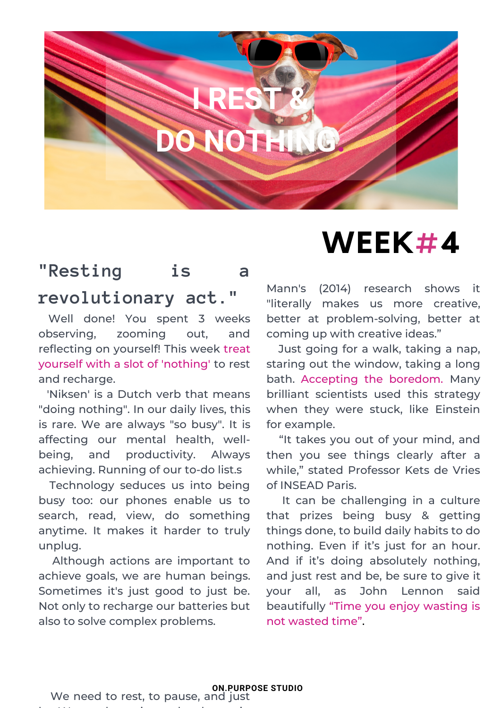

## **"Resting is a revolutionary act."**

Well done! You spent 3 weeks observing, zooming out, and reflecting on yourself! This week treat yourself with a slot of 'nothing' to rest and recharge.

'Niksen' is a Dutch verb that means "doing nothing". In our daily lives, this is rare. We are always "so busy". It is affecting our mental health, wellbeing, and productivity. Always achieving. Running of our to-do list.s

Technology seduces us into being busy too: our phones enable us to search, read, view, do something anytime. It makes it harder to truly unplug.

Although actions are important to achieve goals, we are human beings. Sometimes it's just good to just be. Not only to recharge our batteries but also to solve complex problems.

## **WEEK#4**

Mann's (2014) research shows it "literally makes us more creative, better at problem-solving, better at coming up with creative ideas."

Just going for a walk, taking a nap, staring out the window, taking a long bath. Accepting the boredom. Many brilliant scientists used this strategy when they were stuck, like Einstein for example.

"It takes you out of your mind, and then you see things clearly after a while," stated Professor Kets de Vries of INSEAD Paris.

It can be challenging in a culture that prizes being busy & getting things done, to build daily habits to do nothing. Even if it's just for an hour. And if it's doing absolutely nothing, and just rest and be, be sure to give it your all, as John Lennon said beautifully "Time you enjoy wasting is not wasted time".